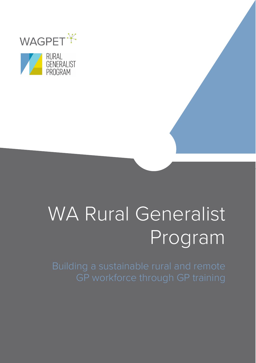



# WA Rural Generalist Program

Building a sustainable rural and remote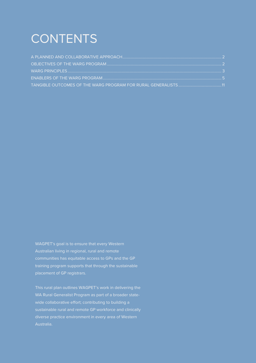# **CONTENTS**

WAGPET's goal is to ensure that every Western Australian living in regional, rural and remote communities has equitable access to GPs and the GP training program supports that through the sustainable placement of GP registrars.

This rural plan outlines WAGPET's work in delivering the WA Rural Generalist Program as part of a broader statewide collaborative effort; contributing to building a diverse practice environment in every area of Western Australia.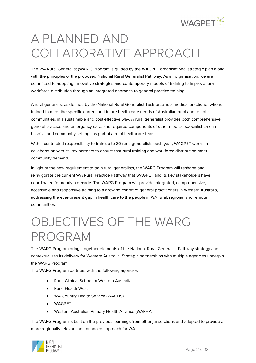

# <span id="page-2-0"></span>A PLANNED AND COLLABORATIVE APPROACH

The WA Rural Generalist (WARG) Program is guided by the WAGPET organisational strategic plan along with the principles of the proposed National Rural Generalist Pathway. As an organisation, we are committed to adopting innovative strategies and contemporary models of training to improve rural workforce distribution through an integrated approach to general practice training.

A rural generalist as defined by the National Rural Generalist Taskforce is a medical practioner who is trained to meet the specific current and future health care needs of Australian rural and remote communities, in a sustainable and cost effective way. A rural generalist provides both comprehensive general practice and emergency care, and required components of other medical specialist care in hospital and community settings as part of a rural healthcare team.

With a contracted responsibility to train up to 30 rural generalists each year, WAGPET works in collaboration with its key partners to ensure that rural training and workforce distribution meet community demand.

In light of the new requirement to train rural generalists, the WARG Program will reshape and reinvigorate the current WA Rural Practice Pathway that WAGPET and its key stakeholders have coordinated for nearly a decade. The WARG Program will provide integrated, comprehensive, accessible and responsive training to a growing cohort of general practitioners in Western Australia, addressing the ever-present gap in health care to the people in WA rural, regional and remote communities.

# <span id="page-2-1"></span>OBJECTIVES OF THE WARG PROGRAM

The WARG Program brings together elements of the National Rural Generalist Pathway strategy and contextualises its delivery for Western Australia. Strategic partnerships with multiple agencies underpin the WARG Program.

The WARG Program partners with the following agencies:

- Rural Clinical School of Western Australia
- Rural Health West
- WA Country Health Service (WACHS)
- WAGPET
- Western Australian Primary Health Alliance (WAPHA)

The WARG Program is built on the previous learnings from other jurisdictions and adapted to provide a more regionally relevant and nuanced approach for WA.

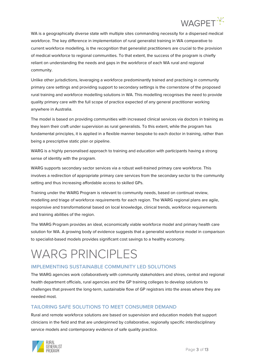

WA is a geographically diverse state with multiple sites commanding necessity for a dispersed medical workforce. The key difference in implementation of rural generalist training in WA comparative to current workforce modelling, is the recognition that generalist practitioners are crucial to the provision of medical workforce to regional communities. To that extent, the success of the program is chiefly reliant on understanding the needs and gaps in the workforce of each WA rural and regional community.

Unlike other jurisdictions, leveraging a workforce predominantly trained and practising in community primary care settings and providing support to secondary settings is the cornerstone of the proposed rural training and workforce modelling solutions in WA. This modelling recognises the need to provide quality primary care with the full scope of practice expected of any general practitioner working anywhere in Australia.

The model is based on providing communities with increased clinical services via doctors in training as they learn their craft under supervision as rural generalists. To this extent, while the program has fundamental principles, it is applied in a flexible manner bespoke to each doctor in training, rather than being a prescriptive static plan or pipeline.

WARG is a highly personalised approach to training and education with participants having a strong sense of identity with the program.

WARG supports secondary sector services via a robust well-trained primary care workforce. This involves a redirection of appropriate primary care services from the secondary sector to the community setting and thus increasing affordable access to skilled GPs.

Training under the WARG Program is relevant to community needs, based on continual review, modelling and triage of workforce requirements for each region. The WARG regional plans are agile, responsive and transformational based on local knowledge, clinical trends, workforce requirements and training abilities of the region.

The WARG Program provides an ideal, economically viable workforce model and primary health care solution for WA. A growing body of evidence suggests that a generalist workforce model in comparison to specialist-based models provides significant cost savings to a healthy economy.

# <span id="page-3-0"></span>WARG PRINCIPLES

# **IMPLEMENTING SUSTAINABLE COMMUNITY LED SOLUTIONS**

The WARG agencies work collaboratively with community stakeholders and shires, central and regional health department officials, rural agencies and the GP training colleges to develop solutions to challenges that prevent the long-term, sustainable flow of GP registrars into the areas where they are needed most.

# **TAILORING SAFE SOLUTIONS TO MEET CONSUMER DEMAND**

Rural and remote workforce solutions are based on supervision and education models that support clinicians in the field and that are underpinned by collaborative, regionally specific interdisciplinary service models and contemporary evidence of safe quality practice.

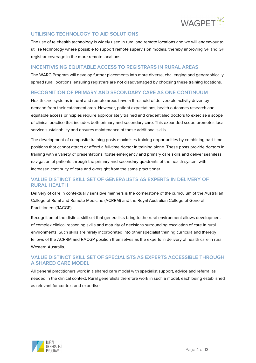

# **UTILISING TECHNOLOGY TO AID SOLUTIONS**

The use of telehealth technology is widely used in rural and remote locations and we will endeavour to utilise technology where possible to support remote supervision models, thereby improving GP and GP registrar coverage in the more remote locations.

#### **INCENTIVISING EQUITABLE ACCESS TO REGISTRARS IN RURAL AREAS**

The WARG Program will develop further placements into more diverse, challenging and geographically spread rural locations, ensuring registrars are not disadvantaged by choosing these training locations.

#### **RECOGNITION OF PRIMARY AND SECONDARY CARE AS ONE CONTINUUM**

Health care systems in rural and remote areas have a threshold of deliverable activity driven by demand from their catchment area. However, patient expectations, health outcomes research and equitable access principles require appropriately trained and credentialed doctors to exercise a scope of clinical practice that includes both primary and secondary care. This expanded scope promotes local service sustainability and ensures maintenance of those additional skills.

The development of composite training posts maximises training opportunities by combining part-time positions that cannot attract or afford a full-time doctor in training alone. These posts provide doctors in training with a variety of presentations, foster emergency and primary care skills and deliver seamless navigation of patients through the primary and secondary quadrants of the health system with increased continuity of care and oversight from the same practitioner.

# **VALUE DISTINCT SKILL SET OF GENERALISTS AS EXPERTS IN DELIVERY OF RURAL HEALTH**

Delivery of care in contextually sensitive manners is the cornerstone of the curriculum of the Australian College of Rural and Remote Medicine (ACRRM) and the Royal Australian College of General Practitioners (RACGP).

Recognition of the distinct skill set that generalists bring to the rural environment allows development of complex clinical reasoning skills and maturity of decisions surrounding escalation of care in rural environments. Such skills are rarely incorporated into other specialist training curricula and thereby fellows of the ACRRM and RACGP position themselves as the experts in delivery of health care in rural Western Australia.

### **VALUE DISTINCT SKILL SET OF SPECIALISTS AS EXPERTS ACCESSIBLE THROUGH A SHARED CARE MODEL**

<span id="page-4-0"></span>All general practitioners work in a shared care model with specialist support, advice and referral as needed in the clinical context. Rural generalists therefore work in such a model, each being established as relevant for context and expertise.

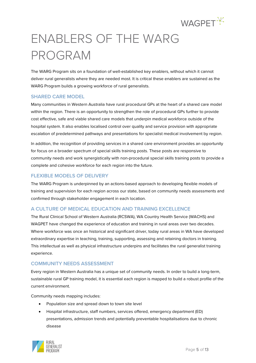

# ENABLERS OF THE WARG PROGRAM

The WARG Program sits on a foundation of well-established key enablers, without which it cannot deliver rural generalists where they are needed most. It is critical these enablers are sustained as the WARG Program builds a growing workforce of rural generalists.

#### **SHARED CARE MODEL**

Many communities in Western Australia have rural procedural GPs at the heart of a shared care model within the region. There is an opportunity to strengthen the role of procedural GPs further to provide cost effective, safe and viable shared care models that underpin medical workforce outside of the hospital system. It also enables localised control over quality and service provision with appropriate escalation of predetermined pathways and presentations for specialist medical involvement by region.

In addition, the recognition of providing services in a shared care environment provides an opportunity for focus on a broader spectrum of special skills training posts. These posts are responsive to community needs and work synergistically with non-procedural special skills training posts to provide a complete and cohesive workforce for each region into the future.

#### **FLEXIBLE MODELS OF DELIVERY**

The WARG Program is underpinned by an actions-based approach to developing flexible models of training and supervision for each region across our state, based on community needs assessments and confirmed through stakeholder engagement in each location.

# **A CULTURE OF MEDICAL EDUCATION AND TRAINING EXCELLENCE**

The Rural Clinical School of Western Australia (RCSWA), WA Country Health Service (WACHS) and WAGPET have changed the experience of education and training in rural areas over two decades. Where workforce was once an historical and significant driver, today rural areas in WA have developed extraordinary expertise in teaching, training, supporting, assessing and retaining doctors in training. This intellectual as well as physical infrastructure underpins and facilitates the rural generalist training experience.

#### **COMMUNITY NEEDS ASSESSMENT**

Every region in Western Australia has a unique set of community needs. In order to build a long-term, sustainable rural GP training model, it is essential each region is mapped to build a robust profile of the current environment.

Community needs mapping includes:

- Population size and spread down to town site level
- Hospital infrastructure, staff numbers, services offered, emergency department (ED) presentations, admission trends and potentially preventable hospitalisations due to chronic disease

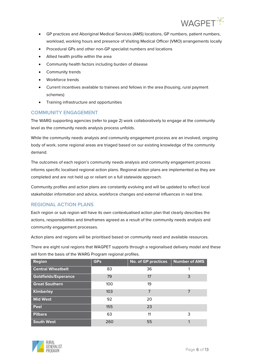

- GP practices and Aboriginal Medical Services (AMS) locations, GP numbers, patient numbers, workload, working hours and presence of Visiting Medical Officer (VMO) arrangements locally
- Procedural GPs and other non-GP specialist numbers and locations
- Allied health profile within the area
- Community health factors including burden of disease
- Community trends
- Workforce trends
- Current incentives available to trainees and fellows in the area (housing, rural payment schemes)
- Training infrastructure and opportunities

### **COMMUNITY ENGAGEMENT**

The WARG supporting agencies (refer to page 2) work collaboratively to engage at the community level as the community needs analysis process unfolds.

While the community needs analysis and community engagement process are an involved, ongoing body of work, some regional areas are triaged based on our existing knowledge of the community demand.

The outcomes of each region's community needs analysis and community engagement process informs specific localised regional action plans. Regional action plans are implemented as they are completed and are not held up or reliant on a full statewide approach.

Community profiles and action plans are constantly evolving and will be updated to reflect local stakeholder information and advice, workforce changes and external influences in real time.

#### **REGIONAL ACTION PLANS**

Each region or sub region will have its own contextualised action plan that clearly describes the actions, responsibilities and timeframes agreed as a result of the community needs analysis and community engagement processes.

Action plans and regions will be prioritised based on community need and available resources.

There are eight rural regions that WAGPET supports through a regionalised delivery model and these will form the basis of the WARG Program regional profiles.

| <b>Region</b>               | <b>GPs</b> | <b>No. of GP practices</b> | <b>Number of AMS</b> |
|-----------------------------|------------|----------------------------|----------------------|
| <b>Central Wheatbelt</b>    | 83         | 36                         |                      |
| <b>Goldfields/Esperance</b> | 79         | 17                         | 3                    |
| <b>Great Southern</b>       | 100        | 19                         |                      |
| Kimberley                   | 103        | 7                          | 7                    |
| <b>Mid West</b>             | 92         | 20                         |                      |
| Peel                        | 155        | 23                         |                      |
| <b>Pilbara</b>              | 63         | 11                         | 3                    |
| <b>South West</b>           | 260        | 55                         |                      |

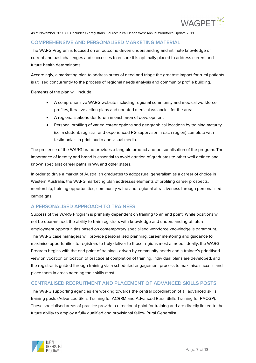

As at November 2017. GPs includes GP registrars. Source: Rural Health West Annual Workforce Update 2018.

#### **COMPREHENSIVE AND PERSONALISED MARKETING MATERIAL**

The WARG Program is focused on an outcome driven understanding and intimate knowledge of current and past challenges and successes to ensure it is optimally placed to address current and future health determinants.

Accordingly, a marketing plan to address areas of need and triage the greatest impact for rural patients is utilised concurrently to the process of regional needs analysis and community profile building.

Elements of the plan will include:

- A comprehensive WARG website including regional community and medical workforce profiles, iterative action plans and updated medical vacancies for the area
- A regional stakeholder forum in each area of development
- Personal profiling of varied career options and geographical locations by training maturity (i.e. a student, registrar and experienced RG supervisor in each region) complete with testimonials in print, audio and visual media.

The presence of the WARG brand provides a tangible product and personalisation of the program. The importance of identity and brand is essential to avoid attrition of graduates to other well defined and known specialist career paths in WA and other states.

In order to drive a market of Australian graduates to adopt rural generalism as a career of choice in Western Australia, the WARG marketing plan addresses elements of profiling career prospects, mentorship, training opportunities, community value and regional attractiveness through personalised campaigns.

#### **A PERSONALISED APPROACH TO TRAINEES**

Success of the WARG Program is primarily dependent on training to an end point. While positions will not be quarantined, the ability to train registrars with knowledge and understanding of future employment opportunities based on contemporary specialised workforce knowledge is paramount. The WARG case managers will provide personalised planning, career mentoring and guidance to maximise opportunities to registrars to truly deliver to those regions most at need. Ideally, the WARG Program begins with the end point of training - driven by community needs and a trainee's prioritised view on vocation or location of practice at completion of training. Individual plans are developed, and the registrar is guided through training via a scheduled engagement process to maximise success and place them in areas needing their skills most.

#### **CENTRALISED RECRUITMENT AND PLACEMENT OF ADVANCED SKILLS POSTS**

The WARG supporting agencies are working towards the central coordination of all advanced skills training posts (Advanced Skills Training for ACRRM and Advanced Rural Skills Training for RACGP). These specialised areas of practice provide a directional point for training and are directly linked to the future ability to employ a fully qualified and provisional fellow Rural Generalist.

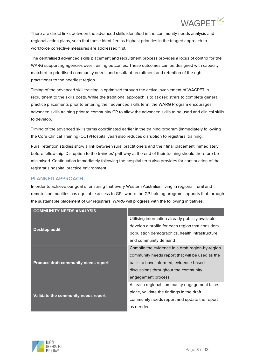

There are direct links between the advanced skills identified in the community needs analysis and regional action plans, such that those identified as highest priorities in the triaged approach to workforce corrective measures are addressed first.

The centralised advanced skills placement and recruitment process provides a locus of control for the WARG supporting agencies over training outcomes. These outcomes can be designed with capacity matched to prioritised community needs and resultant recruitment and retention of the right practitioner to the neediest region.

Timing of the advanced skill training is optimised through the active involvement of WAGPET in recruitment to the skills posts. While the traditional approach is to ask registrars to complete general practice placements prior to entering their advanced skills term, the WARG Program encourages advanced skills training prior to community GP to allow the advanced skills to be used and clinical skills to develop.

Timing of the advanced skills terms coordinated earlier in the training program (immediately following the Core Clinical Training (CCT)/Hospital year) also reduces disruption to registrars' training.

Rural retention studies show a link between rural practitioners and their final placement immediately before fellowship. Disruption to the trainees' pathway at the end of their training should therefore be minimised. Continuation immediately following the hospital term also provides for continuation of the registrar's hospital practice environment.

# **PLANNED APPROACH**

In order to achieve our goal of ensuring that every Western Australian living in regional, rural and remote communities has equitable access to GPs where the GP training program supports that through the sustainable placement of GP registrars, WARG will progress with the following initiatives:

| <b>COMMUNITY NEEDS ANALYSIS</b>      |                                                   |
|--------------------------------------|---------------------------------------------------|
| Desktop audit                        | Utilising information already publicly available, |
|                                      | develop a profile for each region that considers  |
|                                      | population demographics, health infrastructure    |
|                                      | and community demand                              |
| Produce draft community needs report | Compile the evidence in a draft region-by-region  |
|                                      | community needs report that will be used as the   |
|                                      | basis to have informed, evidence-based            |
|                                      | discussions throughout the community              |
|                                      | engagement process                                |
| Validate the community needs report  | As each regional community engagement takes       |
|                                      | place, validate the findings in the draft         |
|                                      | community needs report and update the report      |
|                                      | as needed                                         |

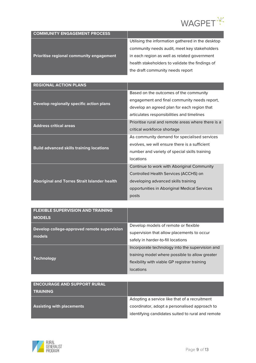

| <b>COMMUNITY ENGAGEMENT PROCESS</b>             |                                                   |
|-------------------------------------------------|---------------------------------------------------|
|                                                 | Utilising the information gathered in the desktop |
|                                                 | community needs audit, meet key stakeholders      |
| <b>Prioritise regional community engagement</b> | in each region as well as related government      |
|                                                 | health stakeholders to validate the findings of   |
|                                                 | the draft community needs report                  |

| <b>REGIONAL ACTION PLANS</b>                        |                                                    |
|-----------------------------------------------------|----------------------------------------------------|
| Develop regionally specific action plans            | Based on the outcomes of the community             |
|                                                     | engagement and final community needs report,       |
|                                                     | develop an agreed plan for each region that        |
|                                                     | articulates responsibilities and timelines         |
| <b>Address critical areas</b>                       | Prioritise rural and remote areas where there is a |
|                                                     | critical workforce shortage                        |
| <b>Build advanced skills training locations</b>     | As community demand for specialised services       |
|                                                     | evolves, we will ensure there is a sufficient      |
|                                                     | number and variety of special skills training      |
|                                                     | locations                                          |
| <b>Aboriginal and Torres Strait Islander health</b> | Continue to work with Aboriginal Community         |
|                                                     | Controlled Health Services (ACCHS) on              |
|                                                     | developing advanced skills training                |
|                                                     | opportunities in Aboriginal Medical Services       |
|                                                     | posts                                              |

| <b>FLEXIBLE SUPERVISION AND TRAINING</b>              |                                                 |
|-------------------------------------------------------|-------------------------------------------------|
| <b>MODELS</b>                                         |                                                 |
| Develop college-approved remote supervision<br>models | Develop models of remote or flexible            |
|                                                       | supervision that allow placements to occur      |
|                                                       | safely in harder-to-fill locations              |
| <b>Technology</b>                                     | Incorporate technology into the supervision and |
|                                                       | training model where possible to allow greater  |
|                                                       | flexibility with viable GP registrar training   |
|                                                       | locations                                       |

| <b>ENCOURAGE AND SUPPORT RURAL</b><br><b>TRAINING</b> |                                                   |
|-------------------------------------------------------|---------------------------------------------------|
|                                                       | Adopting a service like that of a recruitment     |
| <b>Assisting with placements</b>                      | coordinator, adopt a personalised approach to     |
|                                                       | identifying candidates suited to rural and remote |

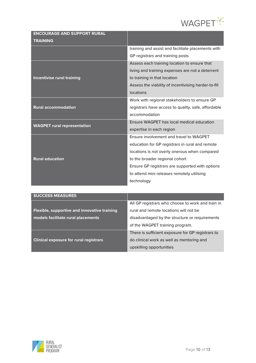

| <b>ENCOURAGE AND SUPPORT RURAL</b>           |                                                      |
|----------------------------------------------|------------------------------------------------------|
| <b>TRAINING</b>                              |                                                      |
|                                              | training and assist and facilitate placements with   |
|                                              | GP registrars and training posts                     |
|                                              | Assess each training location to ensure that         |
|                                              | living and training expenses are not a deterrent     |
| <b>Incentivise rural training</b>            | to training in that location                         |
|                                              | Assess the viability of incentivising harder-to-fill |
|                                              | locations                                            |
| <b>Rural accommodation</b>                   | Work with regional stakeholders to ensure GP         |
|                                              | registrars have access to quality, safe, affordable  |
|                                              | accommodation                                        |
| <b>WAGPET rural representation</b>           | Ensure WAGPET has local medical education            |
|                                              | expertise in each region                             |
|                                              | Ensure involvement and travel to WAGPET              |
|                                              | education for GP registrars in rural and remote      |
|                                              | locations is not overly onerous when compared        |
| <b>Rural education</b>                       | to the broader regional cohort                       |
|                                              | Ensure GP registrars are supported with options      |
|                                              | to attend mini releases remotely utilising           |
|                                              | technology                                           |
|                                              |                                                      |
| <b>SUCCESS MEASURES</b>                      |                                                      |
|                                              | All GP registrars who choose to work and train in    |
| Flexible, supportive and innovative training | rural and remote locations will not be               |

| Flexible, supportive and innovative training  | rural and remote locations will not be            |
|-----------------------------------------------|---------------------------------------------------|
| models facilitate rural placements            | disadvantaged by the structure or requirements    |
|                                               | of the WAGPET training program.                   |
|                                               | There is sufficient exposure for GP registrars to |
| <b>Clinical exposure for rural registrars</b> | do clinical work as well as mentoring and         |
|                                               | upskilling opportunities                          |

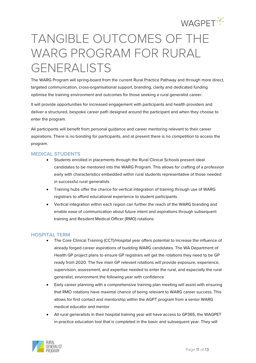

# <span id="page-11-0"></span>TANGIBLE OUTCOMES OF THE WARG PROGRAM FOR RURAL GENERALISTS

The WARG Program will spring-board from the current Rural Practice Pathway and through more direct, targeted communication, cross-organisational support, branding, clarity and dedicated funding optimise the training environment and outcomes for those seeking a rural generalist career.

It will provide opportunities for increased engagement with participants and health providers and deliver a structured, bespoke career path designed around the participant and when they choose to enter the program.

All participants will benefit from personal guidance and career mentoring relevant to their career aspirations. There is no bonding for participants, and at present there is no competition to access the program.

#### **MEDICAL STUDENTS**

- Students enrolled in placements through the Rural Clinical Schools present ideal candidates to be mentored into the WARG Program. This allows for crafting of a profession early with characteristics embedded within rural students representative of those needed in successful rural generalists
- Training hubs offer the chance for vertical integration of training through use of WARG registrars to afford educational experience to student participants
- Vertical integration within each region can further the reach of the WARG branding and enable ease of communication about future intent and aspirations through subsequent training and Resident Medical Officer (RMO) rotations

#### **HOSPITAL TERM**

- The Core Clinical Training (CCT)/Hospital year offers potential to increase the influence of already forged career aspirations of budding WARG candidates. The WA Department of Health GP project plans to ensure GP registrars will get the rotations they need to be GP ready from 2020. The five main GP relevant rotations will provide exposure, experience, supervision, assessment, and expertise needed to enter the rural, and especially the rural generalist, environment the following year with confidence
- Early career planning with a comprehensive training plan meeting will assist with ensuring that RMO rotations have maximal chance of being relevant to WARG career success. This allows for first contact and mentorship within the AGPT program from a senior WARG medical educator and mentor
- All rural generalists in their hospital training year will have access to GP365, the WAGPET in-practice education tool that is completed in the basic and subsequent year. They will

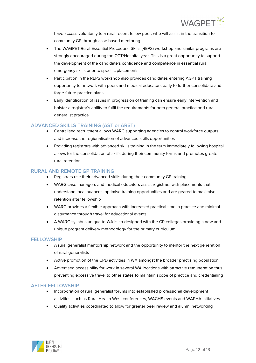

have access voluntarily to a rural recent-fellow peer, who will assist in the transition to community GP through case based mentoring

- The WAGPET Rural Essential Procedural Skills (REPS) workshop and similar programs are strongly encouraged during the CCT/Hospital year. This is a great opportunity to support the development of the candidate's confidence and competence in essential rural emergency skills prior to specific placements
- Participation in the REPS workshop also provides candidates entering AGPT training opportunity to network with peers and medical educators early to further consolidate and forge future practice plans
- Early identification of issues in progression of training can ensure early intervention and bolster a registrar's ability to fulfil the requirements for both general practice and rural generalist practice

### **ADVANCED SKILLS TRAINING (AST or ARST)**

- Centralised recruitment allows WARG supporting agencies to control workforce outputs and increase the regionalisation of advanced skills opportunities
- Providing registrars with advanced skills training in the term immediately following hospital allows for the consolidation of skills during their community terms and promotes greater rural retention

#### **RURAL AND REMOTE GP TRAINING**

- Registrars use their advanced skills during their community GP training
- WARG case managers and medical educators assist registrars with placements that understand local nuances, optimise training opportunities and are geared to maximise retention after fellowship
- WARG provides a flexible approach with increased practical time in practice and minimal disturbance through travel for educational events
- A WARG syllabus unique to WA is co-designed with the GP colleges providing a new and unique program delivery methodology for the primary curriculum

#### **FELLOWSHIP**

- A rural generalist mentorship network and the opportunity to mentor the next generation of rural generalists
- Active promotion of the CPD activities in WA amongst the broader practising population
- Advertised accessibility for work in several WA locations with attractive remuneration thus preventing excessive travel to other states to maintain scope of practice and credentialing

#### **AFTER FELLOWSHIP**

- Incorporation of rural generalist forums into established professional development activities, such as Rural Health West conferences, WACHS events and WAPHA initiatives
- Quality activities coordinated to allow for greater peer review and alumni networking